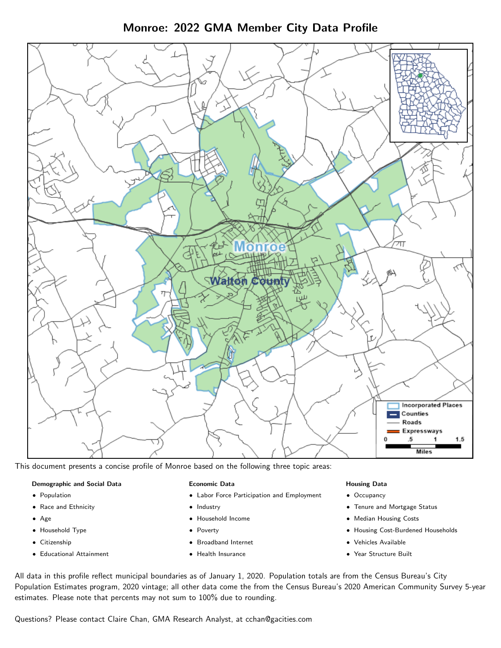Monroe: 2022 GMA Member City Data Profile



This document presents a concise profile of Monroe based on the following three topic areas:

#### Demographic and Social Data

- **•** Population
- Race and Ethnicity
- Age
- Household Type
- **Citizenship**
- Educational Attainment

#### Economic Data

- Labor Force Participation and Employment
- Industry
- Household Income
- Poverty
- Broadband Internet
- Health Insurance

#### Housing Data

- Occupancy
- Tenure and Mortgage Status
- Median Housing Costs
- Housing Cost-Burdened Households
- Vehicles Available
- Year Structure Built

All data in this profile reflect municipal boundaries as of January 1, 2020. Population totals are from the Census Bureau's City Population Estimates program, 2020 vintage; all other data come the from the Census Bureau's 2020 American Community Survey 5-year estimates. Please note that percents may not sum to 100% due to rounding.

Questions? Please contact Claire Chan, GMA Research Analyst, at [cchan@gacities.com.](mailto:cchan@gacities.com)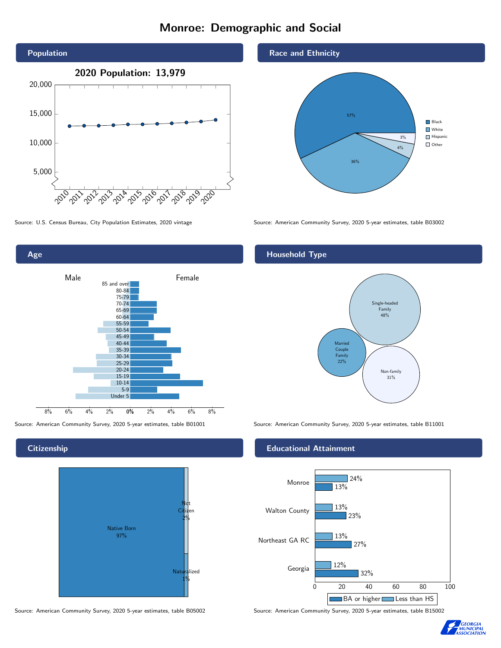# Monroe: Demographic and Social



0% 2% 4% 6% 8% Male **Female** 8% 6% 4% 2% 85 and over 80-84 75-79 70-74 65-69 60-64 55-59 50-54 45-49 40-44 35-39 30-34 25-29 20-24 15-19 10-14 5-9 Under 5

#### **Citizenship**

Age



Source: American Community Survey, 2020 5-year estimates, table B05002 Source: American Community Survey, 2020 5-year estimates, table B15002





Source: U.S. Census Bureau, City Population Estimates, 2020 vintage Source: American Community Survey, 2020 5-year estimates, table B03002

## Household Type



Source: American Community Survey, 2020 5-year estimates, table B01001 Source: American Community Survey, 2020 5-year estimates, table B11001

#### Educational Attainment



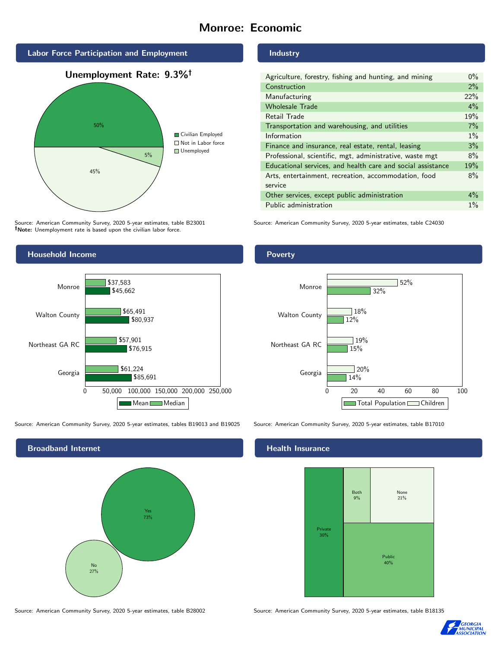# Monroe: Economic



Source: American Community Survey, 2020 5-year estimates, table B23001 Note: Unemployment rate is based upon the civilian labor force.

## Household Income



Source: American Community Survey, 2020 5-year estimates, tables B19013 and B19025 Source: American Community Survey, 2020 5-year estimates, table B17010



Source: American Community Survey, 2020 5-year estimates, table B28002 Source: American Community Survey, 2020 5-year estimates, table B18135

Industry

| Agriculture, forestry, fishing and hunting, and mining      | $0\%$ |
|-------------------------------------------------------------|-------|
| Construction                                                | 2%    |
| Manufacturing                                               | 22%   |
| <b>Wholesale Trade</b>                                      | $4\%$ |
| Retail Trade                                                | 19%   |
| Transportation and warehousing, and utilities               | 7%    |
| Information                                                 | $1\%$ |
| Finance and insurance, real estate, rental, leasing         | 3%    |
| Professional, scientific, mgt, administrative, waste mgt    | 8%    |
| Educational services, and health care and social assistance | 19%   |
| Arts, entertainment, recreation, accommodation, food        | 8%    |
| service                                                     |       |
| Other services, except public administration                | $4\%$ |
| Public administration                                       | $1\%$ |

Source: American Community Survey, 2020 5-year estimates, table C24030

#### Poverty



## **Health Insurance**